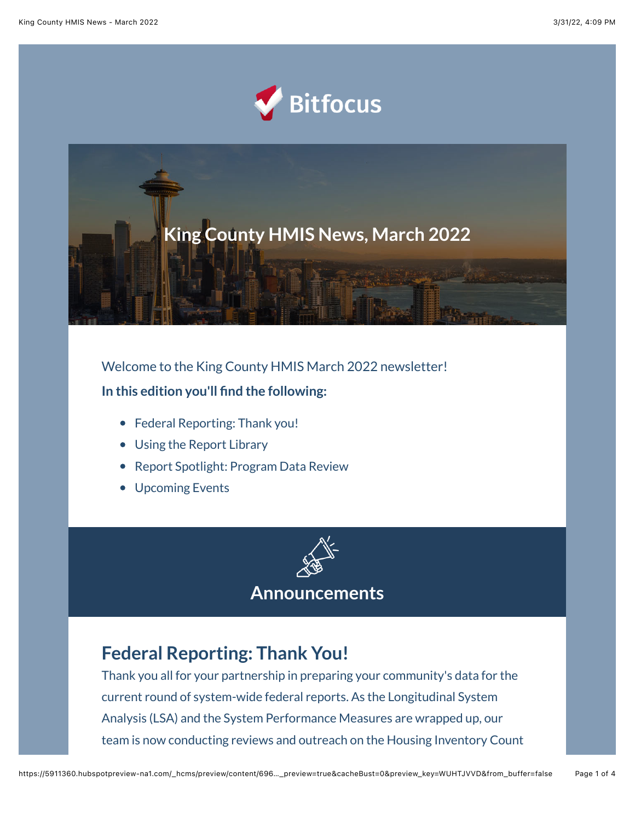



Welcome to the King County HMIS March 2022 newsletter! **In this edition you'll find the following:**

- Federal Reporting: Thank you!
- Using the Report Library
- Report Spotlight: Program Data Review
- Upcoming Events



**Announcements**

## **Federal Reporting: Thank You!**

Thank you all for your partnership in preparing your community's data for the current round of system-wide federal reports. As the Longitudinal System Analysis (LSA) and the System Performance Measures are wrapped up, our team is now conducting reviews and outreach on the Housing Inventory Count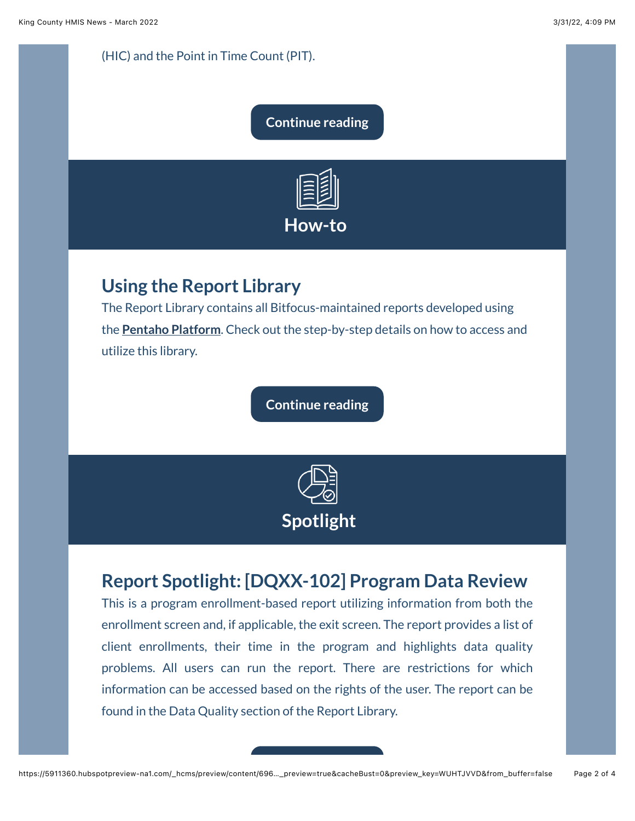#### (HIC) and the Point in Time Count (PIT).

#### **[Continue reading](https://www.bitfocus.com/hubfs/Federal%20Reporting%20-%20March%20King.pdf?utm_source=hs_email&utm_medium=email&_hsenc=p2ANqtz-_y-GxFW5TJLbW7b29wwGLWiKVw00z2utRQPZLfKO7lcMabO-CiS8JnAOPdwG6fhn0jRGtJ)**



## **Using the Report Library**

The Report Library contains all Bitfocus-maintained reports developed using the **[Pentaho Platform](https://help.bitfocus.com/pentaho-101?utm_source=hs_email&utm_medium=email&_hsenc=p2ANqtz-_y-GxFW5TJLbW7b29wwGLWiKVw00z2utRQPZLfKO7lcMabO-CiS8JnAOPdwG6fhn0jRGtJ)**. Check out the step-by-step details on how to access and utilize this library.

**[Continue reading](https://www.bitfocus.com/hubfs/Using%20the%20Report%20Library%20-%20March%20King.pdf?utm_source=hs_email&utm_medium=email&_hsenc=p2ANqtz-_y-GxFW5TJLbW7b29wwGLWiKVw00z2utRQPZLfKO7lcMabO-CiS8JnAOPdwG6fhn0jRGtJ)**



## **Report Spotlight: [DQXX-102] Program Data Review**

This is a program enrollment-based report utilizing information from both the enrollment screen and, if applicable, the exit screen. The report provides a list of client enrollments, their time in the program and highlights data quality problems. All users can run the report. There are restrictions for which information can be accessed based on the rights of the user. The report can be found in the Data Quality section of the Report Library.